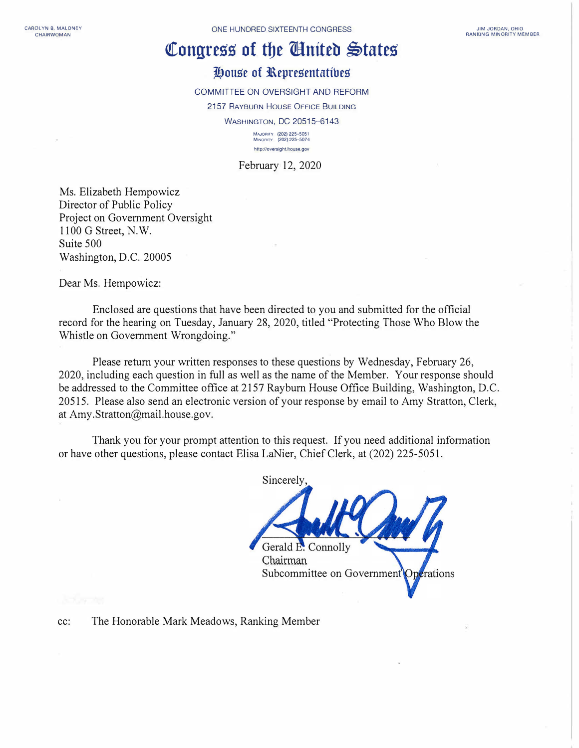## **Congress of the Cinited States**

## **lf,ouge of l\epregentatibeg**

COMMITTEE ON OVERSIGHT AND REFORM

2157 RAYBURN HOUSE OFFICE BUILDING

WASHINGTON, DC 20515-6143

**MAJOOrrv (202) 225-5051 MINOArTY (202) 225--507 4**  http://oversight.house.gov

February 12, 2020

Ms. Elizabeth Hempowicz Director of Public Policy Project on Government Oversight 1100 G Street, N.W. Suite 500 Washington, D.C. 20005

Dear Ms. Hempowicz:

Enclosed are questions that have been directed to you and submitted for the official record for the hearing on Tuesday, January 28, 2020, titled "Protecting Those Who Blow the Whistle on Government Wrongdoing."

Please return your written responses to these questions by Wednesday, February 26, 2020, including each question in full as well as the name of the Member. Your response should be addressed to the Committee office at 2157 Rayburn House Office Building, Washington, D.C. 20515. Please also send an electronic version of your response by email to Amy Stratton, Clerk, at Amy.Stratton@mail.house.gov.

Thank you for your prompt attention to this request. If you need additional information or have other questions, please contact Elisa LaNier, Chief Clerk, at (202) 225-5051.

**Sincerely** 

Connolly Chairman Subcommittee on Government Operations

cc: The Honorable Mark Meadows, Ranking Member